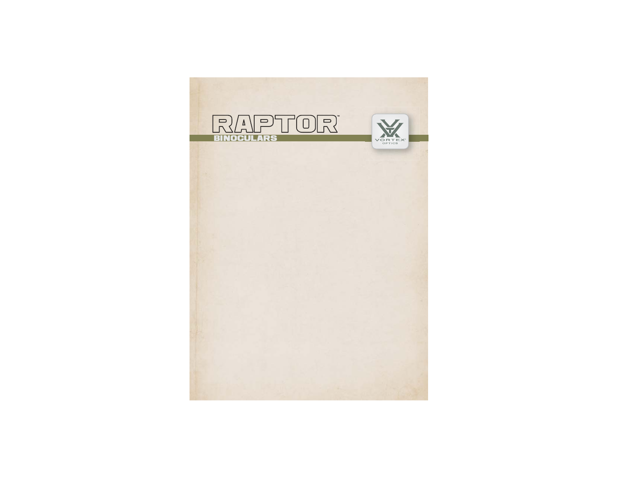# RAPTOR

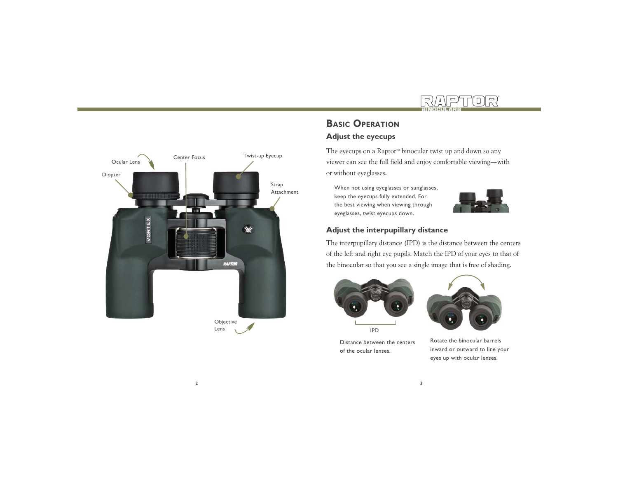



# **BASIC OPERATION**

#### **Adjust the eyecups**

The eyecups on a Raptor<sup> $M$ </sup> binocular twist up and down so any viewer can see the full field and enjoy comfortable viewing—with or without eyeglasses.

When not using eyeglasses or sunglasses, keep the eyecups fully extended. For the best viewing when viewing through eyeglasses, twist eyecups down.



#### **Adjust the interpupillary distance**

The interpupillary distance (IPD) is the distance between the centers of the left and right eye pupils. Match the IPD of your eyes to that of the binocular so that you see a single image that is free of shading.



Distance between the centers of the ocular lenses.



Rotate the binocular barrels inward or outward to line your eyes up with ocular lenses.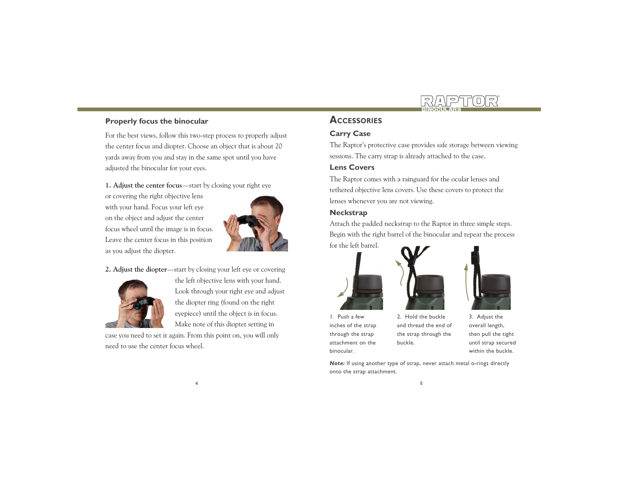

### **Properly focus the binocular**

For the best views, follow this two-step process to properly adjust the center focus and diopter. Choose an object that is about 20 yards away from you and stay in the same spot until you have adjusted the binocular for your eyes.

**1. Adjust the center focus**—start by closing your right eye

or covering the right objective lens with your hand. Focus your left eye on the object and adjust the center focus wheel until the image is in focus. Leave the center focus in this position as you adjust the diopter.



**2. Adjust the diopter**—start by closing your left eye or covering



the left objective lens with your hand. Look through your right eye and adjust the diopter ring (found on the right eyepiece) until the object is in focus. Make note of this diopter setting in

case you need to set it again. From this point on, you will only need to use the center focus wheel.

## **ACCESSORIES**

## **Carry Case**

The Raptor's protective case provides safe storage between viewing sessions. The carry strap is already attached to the case.

#### **Lens Covers**

The Raptor comes with a rainguard for the ocular lenses and tethered objective lens covers. Use these covers to protect the lenses whenever you are not viewing.

#### **Neckstrap**

Attach the padded neckstrap to the Raptor in three simple steps. Begin with the right barrel of the binocular and repeat the process for the left barrel.







1. Push a few inches of the strap through the strap attachment on the binocular.

2. Hold the buckle and thread the end of the strap through the buckle.

3. Adjust the overall length, then pull the tight until strap secured within the buckle.

*Note:* If using another type of strap, never attach metal o-rings directly onto the strap attachment.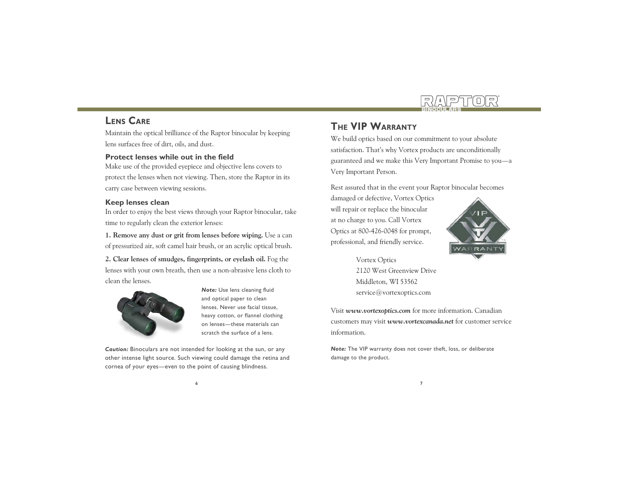

## **LENS CARE**

Maintain the optical brilliance of the Raptor binocular by keeping lens surfaces free of dirt, oils, and dust.

#### **Protect lenses while out in the field**

Make use of the provided eyepiece and objective lens covers to protect the lenses when not viewing. Then, store the Raptor in its carry case between viewing sessions.

#### **Keep lenses clean**

In order to enjoy the best views through your Raptor binocular, take time to regularly clean the exterior lenses:

**1. Remove any dust or grit from lenses before wiping.** Use a can of pressurized air, soft camel hair brush, or an acrylic optical brush.

**2. Clear lenses of smudges, fingerprints, or eyelash oil.** Fog the lenses with your own breath, then use a non-abrasive lens cloth to clean the lenses.



*Note:* Use lens cleaning fluid and optical paper to clean lenses. Never use facial tissue, heavy cotton, or flannel clothing on lenses—these materials can scratch the surface of a lens.

*Caution:* Binoculars are not intended for looking at the sun, or any other intense light source. Such viewing could damage the retina and cornea of your eyes—even to the point of causing blindness.

## **THE VIP WARRANTY**

We build optics based on our commitment to your absolute satisfaction. That's why Vortex products are unconditionally guaranteed and we make this Very Important Promise to you—a Very Important Person.

Rest assured that in the event your Raptor binocular becomes

damaged or defective, Vortex Optics will repair or replace the binocular at no charge to you. Call Vortex Optics at 800-426-0048 for prompt, professional, and friendly service.



Vortex Optics 2120 West Greenview DriveMiddleton, WI 53562 service@vortexoptics.com

Visit *www.vortexoptics.com* for more information. Canadian customers may visit *www.vortexcanada.net* for customer service information.

*Note:* The VIP warranty does not cover theft, loss, or deliberate damage to the product.